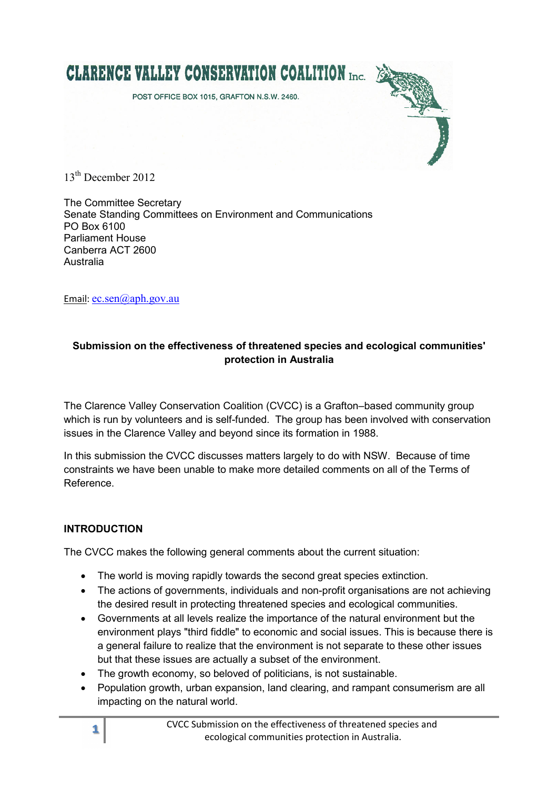

13<sup>th</sup> December 2012

The Committee Secretary Senate Standing Committees on Environment and Communications PO Box 6100 Parliament House Canberra ACT 2600 Australia

Email: ec.sen@aph.gov.au

#### **Submission on the effectiveness of threatened species and ecological communities' protection in Australia**

The Clarence Valley Conservation Coalition (CVCC) is a Grafton–based community group which is run by volunteers and is self-funded. The group has been involved with conservation issues in the Clarence Valley and beyond since its formation in 1988.

In this submission the CVCC discusses matters largely to do with NSW. Because of time constraints we have been unable to make more detailed comments on all of the Terms of Reference.

#### **INTRODUCTION**

The CVCC makes the following general comments about the current situation:

- The world is moving rapidly towards the second great species extinction.
- The actions of governments, individuals and non-profit organisations are not achieving the desired result in protecting threatened species and ecological communities.
- Governments at all levels realize the importance of the natural environment but the environment plays "third fiddle" to economic and social issues. This is because there is a general failure to realize that the environment is not separate to these other issues but that these issues are actually a subset of the environment.
- The growth economy, so beloved of politicians, is not sustainable.
- Population growth, urban expansion, land clearing, and rampant consumerism are all impacting on the natural world.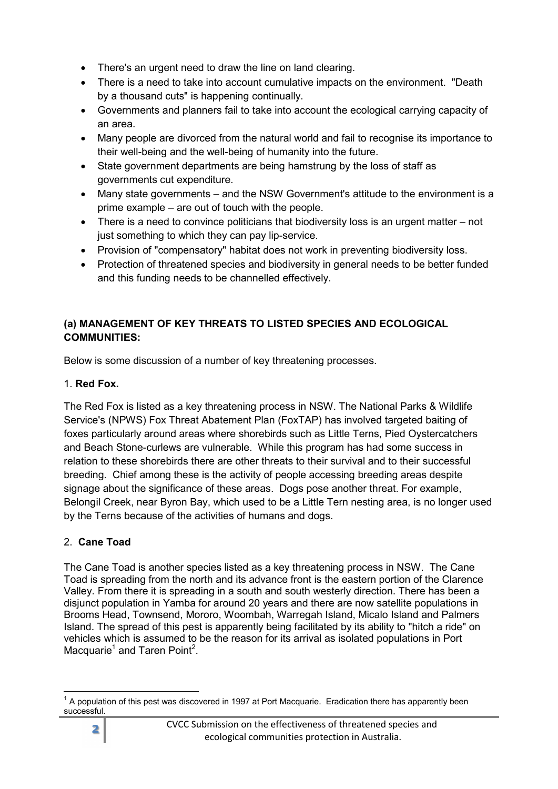- There's an urgent need to draw the line on land clearing.
- There is a need to take into account cumulative impacts on the environment. "Death by a thousand cuts" is happening continually.
- Governments and planners fail to take into account the ecological carrying capacity of an area.
- Many people are divorced from the natural world and fail to recognise its importance to their well-being and the well-being of humanity into the future.
- State government departments are being hamstrung by the loss of staff as governments cut expenditure.
- Many state governments and the NSW Government's attitude to the environment is a prime example – are out of touch with the people.
- There is a need to convince politicians that biodiversity loss is an urgent matter not just something to which they can pay lip-service.
- Provision of "compensatory" habitat does not work in preventing biodiversity loss.
- Protection of threatened species and biodiversity in general needs to be better funded and this funding needs to be channelled effectively.

### **(a) MANAGEMENT OF KEY THREATS TO LISTED SPECIES AND ECOLOGICAL COMMUNITIES:**

Below is some discussion of a number of key threatening processes.

#### 1. **Red Fox.**

The Red Fox is listed as a key threatening process in NSW. The National Parks & Wildlife Service's (NPWS) Fox Threat Abatement Plan (FoxTAP) has involved targeted baiting of foxes particularly around areas where shorebirds such as Little Terns, Pied Oystercatchers and Beach Stone-curlews are vulnerable. While this program has had some success in relation to these shorebirds there are other threats to their survival and to their successful breeding. Chief among these is the activity of people accessing breeding areas despite signage about the significance of these areas. Dogs pose another threat. For example, Belongil Creek, near Byron Bay, which used to be a Little Tern nesting area, is no longer used by the Terns because of the activities of humans and dogs.

### 2. **Cane Toad**

The Cane Toad is another species listed as a key threatening process in NSW. The Cane Toad is spreading from the north and its advance front is the eastern portion of the Clarence Valley. From there it is spreading in a south and south westerly direction. There has been a disjunct population in Yamba for around 20 years and there are now satellite populations in Brooms Head, Townsend, Mororo, Woombah, Warregah Island, Micalo Island and Palmers Island. The spread of this pest is apparently being facilitated by its ability to "hitch a ride" on vehicles which is assumed to be the reason for its arrival as isolated populations in Port Macquarie<sup>1</sup> and Taren Point<sup>2</sup>.

  $1$  A population of this pest was discovered in 1997 at Port Macquarie. Eradication there has apparently been successful.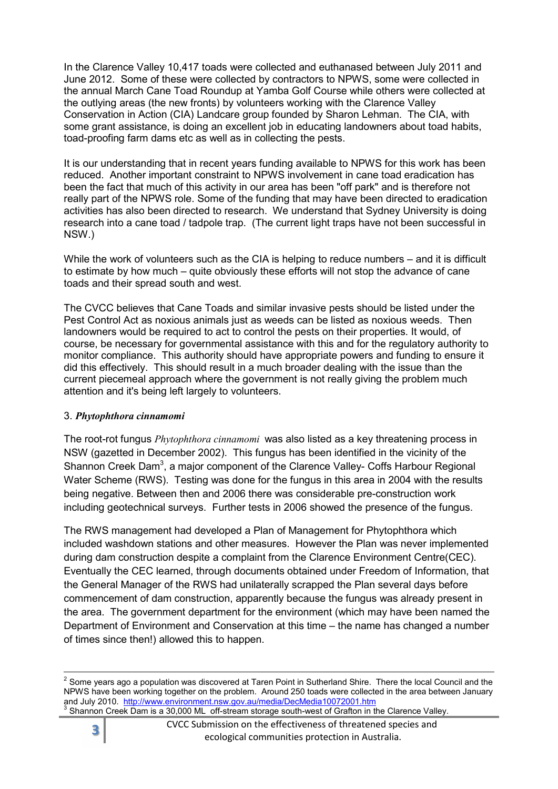In the Clarence Valley 10,417 toads were collected and euthanased between July 2011 and June 2012. Some of these were collected by contractors to NPWS, some were collected in the annual March Cane Toad Roundup at Yamba Golf Course while others were collected at the outlying areas (the new fronts) by volunteers working with the Clarence Valley Conservation in Action (CIA) Landcare group founded by Sharon Lehman. The CIA, with some grant assistance, is doing an excellent job in educating landowners about toad habits, toad-proofing farm dams etc as well as in collecting the pests.

It is our understanding that in recent years funding available to NPWS for this work has been reduced. Another important constraint to NPWS involvement in cane toad eradication has been the fact that much of this activity in our area has been "off park" and is therefore not really part of the NPWS role. Some of the funding that may have been directed to eradication activities has also been directed to research. We understand that Sydney University is doing research into a cane toad / tadpole trap. (The current light traps have not been successful in NSW.)

While the work of volunteers such as the CIA is helping to reduce numbers – and it is difficult to estimate by how much – quite obviously these efforts will not stop the advance of cane toads and their spread south and west.

The CVCC believes that Cane Toads and similar invasive pests should be listed under the Pest Control Act as noxious animals just as weeds can be listed as noxious weeds. Then landowners would be required to act to control the pests on their properties. It would, of course, be necessary for governmental assistance with this and for the regulatory authority to monitor compliance. This authority should have appropriate powers and funding to ensure it did this effectively. This should result in a much broader dealing with the issue than the current piecemeal approach where the government is not really giving the problem much attention and it's being left largely to volunteers.

#### 3. *Phytophthora cinnamomi*

The root-rot fungus *Phytophthora cinnamomi* was also listed as a key threatening process in NSW (gazetted in December 2002). This fungus has been identified in the vicinity of the Shannon Creek Dam<sup>3</sup>, a major component of the Clarence Valley- Coffs Harbour Regional Water Scheme (RWS). Testing was done for the fungus in this area in 2004 with the results being negative. Between then and 2006 there was considerable pre-construction work including geotechnical surveys. Further tests in 2006 showed the presence of the fungus.

The RWS management had developed a Plan of Management for Phytophthora which included washdown stations and other measures. However the Plan was never implemented during dam construction despite a complaint from the Clarence Environment Centre(CEC). Eventually the CEC learned, through documents obtained under Freedom of Information, that the General Manager of the RWS had unilaterally scrapped the Plan several days before commencement of dam construction, apparently because the fungus was already present in the area. The government department for the environment (which may have been named the Department of Environment and Conservation at this time – the name has changed a number of times since then!) allowed this to happen.



l

 $2$  Some years ago a population was discovered at Taren Point in Sutherland Shire. There the local Council and the NPWS have been working together on the problem. Around 250 toads were collected in the area between January and July 2010. <u>http://www.environment.nsw.gov.au/media/DecMedia10072001.htm</u><br><sup>3</sup> Shannon Creek Dam is a 30,000 ML off-stream storage south-west of Grafton in the Clarence Valley.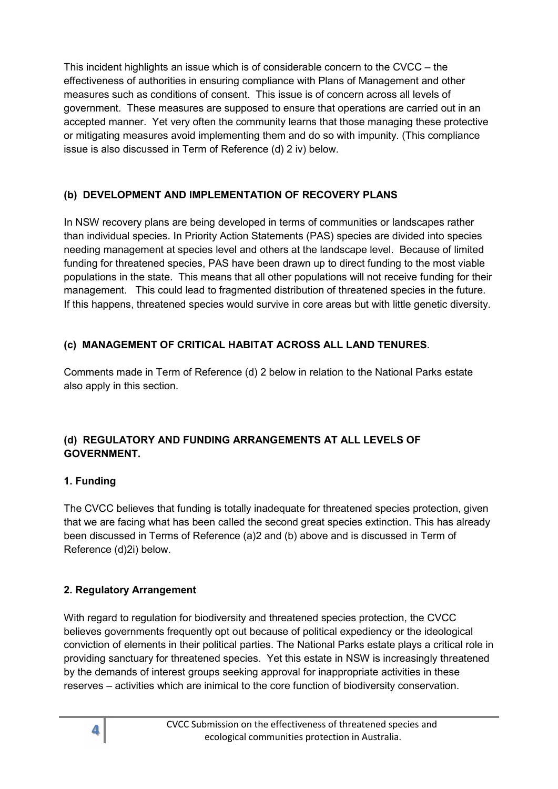This incident highlights an issue which is of considerable concern to the CVCC – the effectiveness of authorities in ensuring compliance with Plans of Management and other measures such as conditions of consent. This issue is of concern across all levels of government. These measures are supposed to ensure that operations are carried out in an accepted manner. Yet very often the community learns that those managing these protective or mitigating measures avoid implementing them and do so with impunity. (This compliance issue is also discussed in Term of Reference (d) 2 iv) below.

## **(b) DEVELOPMENT AND IMPLEMENTATION OF RECOVERY PLANS**

In NSW recovery plans are being developed in terms of communities or landscapes rather than individual species. In Priority Action Statements (PAS) species are divided into species needing management at species level and others at the landscape level. Because of limited funding for threatened species, PAS have been drawn up to direct funding to the most viable populations in the state. This means that all other populations will not receive funding for their management. This could lead to fragmented distribution of threatened species in the future. If this happens, threatened species would survive in core areas but with little genetic diversity.

## **(c) MANAGEMENT OF CRITICAL HABITAT ACROSS ALL LAND TENURES**.

Comments made in Term of Reference (d) 2 below in relation to the National Parks estate also apply in this section.

#### **(d) REGULATORY AND FUNDING ARRANGEMENTS AT ALL LEVELS OF GOVERNMENT.**

### **1. Funding**

The CVCC believes that funding is totally inadequate for threatened species protection, given that we are facing what has been called the second great species extinction. This has already been discussed in Terms of Reference (a)2 and (b) above and is discussed in Term of Reference (d)2i) below.

### **2. Regulatory Arrangement**

With regard to regulation for biodiversity and threatened species protection, the CVCC believes governments frequently opt out because of political expediency or the ideological conviction of elements in their political parties. The National Parks estate plays a critical role in providing sanctuary for threatened species. Yet this estate in NSW is increasingly threatened by the demands of interest groups seeking approval for inappropriate activities in these reserves – activities which are inimical to the core function of biodiversity conservation.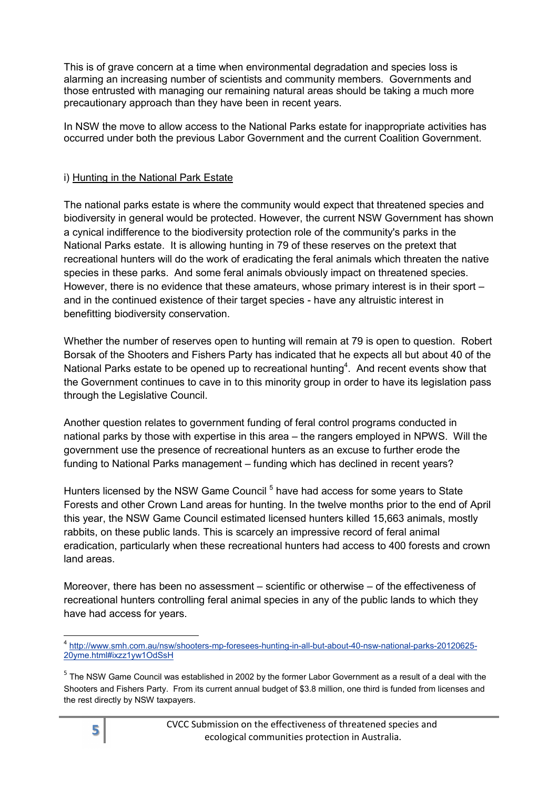This is of grave concern at a time when environmental degradation and species loss is alarming an increasing number of scientists and community members. Governments and those entrusted with managing our remaining natural areas should be taking a much more precautionary approach than they have been in recent years.

In NSW the move to allow access to the National Parks estate for inappropriate activities has occurred under both the previous Labor Government and the current Coalition Government.

#### i) Hunting in the National Park Estate

The national parks estate is where the community would expect that threatened species and biodiversity in general would be protected. However, the current NSW Government has shown a cynical indifference to the biodiversity protection role of the community's parks in the National Parks estate. It is allowing hunting in 79 of these reserves on the pretext that recreational hunters will do the work of eradicating the feral animals which threaten the native species in these parks. And some feral animals obviously impact on threatened species. However, there is no evidence that these amateurs, whose primary interest is in their sport – and in the continued existence of their target species - have any altruistic interest in benefitting biodiversity conservation.

Whether the number of reserves open to hunting will remain at 79 is open to question. Robert Borsak of the Shooters and Fishers Party has indicated that he expects all but about 40 of the National Parks estate to be opened up to recreational hunting<sup>4</sup>. And recent events show that the Government continues to cave in to this minority group in order to have its legislation pass through the Legislative Council.

Another question relates to government funding of feral control programs conducted in national parks by those with expertise in this area – the rangers employed in NPWS. Will the government use the presence of recreational hunters as an excuse to further erode the funding to National Parks management – funding which has declined in recent years?

Hunters licensed by the NSW Game Council<sup>5</sup> have had access for some years to State Forests and other Crown Land areas for hunting. In the twelve months prior to the end of April this year, the NSW Game Council estimated licensed hunters killed 15,663 animals, mostly rabbits, on these public lands. This is scarcely an impressive record of feral animal eradication, particularly when these recreational hunters had access to 400 forests and crown land areas.

Moreover, there has been no assessment – scientific or otherwise – of the effectiveness of recreational hunters controlling feral animal species in any of the public lands to which they have had access for years.

 $\overline{\phantom{a}}$ 

<sup>4</sup> http://www.smh.com.au/nsw/shooters-mp-foresees-hunting-in-all-but-about-40-nsw-national-parks-20120625- 20yme.html#ixzz1yw1OdSsH

<sup>&</sup>lt;sup>5</sup> The NSW Game Council was established in 2002 by the former Labor Government as a result of a deal with the Shooters and Fishers Party. From its current annual budget of \$3.8 million, one third is funded from licenses and the rest directly by NSW taxpayers.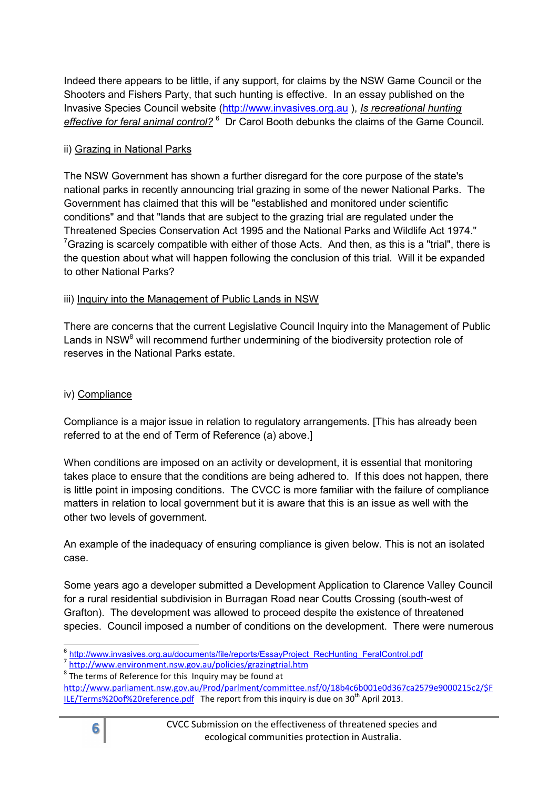Indeed there appears to be little, if any support, for claims by the NSW Game Council or the Shooters and Fishers Party, that such hunting is effective. In an essay published on the Invasive Species Council website (http://www.invasives.org.au ), *Is recreational hunting*  effective for feral animal control?<sup>6</sup> Dr Carol Booth debunks the claims of the Game Council.

#### ii) Grazing in National Parks

The NSW Government has shown a further disregard for the core purpose of the state's national parks in recently announcing trial grazing in some of the newer National Parks. The Government has claimed that this will be "established and monitored under scientific conditions" and that "lands that are subject to the grazing trial are regulated under the Threatened Species Conservation Act 1995 and the National Parks and Wildlife Act 1974."  $7$ Grazing is scarcely compatible with either of those Acts. And then, as this is a "trial", there is the question about what will happen following the conclusion of this trial. Will it be expanded to other National Parks?

#### iii) Inquiry into the Management of Public Lands in NSW

There are concerns that the current Legislative Council Inquiry into the Management of Public Lands in NSW<sup>8</sup> will recommend further undermining of the biodiversity protection role of reserves in the National Parks estate.

#### iv) Compliance

Compliance is a major issue in relation to regulatory arrangements. [This has already been referred to at the end of Term of Reference (a) above.]

When conditions are imposed on an activity or development, it is essential that monitoring takes place to ensure that the conditions are being adhered to. If this does not happen, there is little point in imposing conditions. The CVCC is more familiar with the failure of compliance matters in relation to local government but it is aware that this is an issue as well with the other two levels of government.

An example of the inadequacy of ensuring compliance is given below. This is not an isolated case.

Some years ago a developer submitted a Development Application to Clarence Valley Council for a rural residential subdivision in Burragan Road near Coutts Crossing (south-west of Grafton). The development was allowed to proceed despite the existence of threatened species. Council imposed a number of conditions on the development. There were numerous



entity://www.invasives.org.au/documents/file/reports/EssayProject\_RecHunting\_FeralControl.pdf<br>|

<sup>&</sup>lt;sup>7</sup> http://www.environment.nsw.gov.au/policies/grazingtrial.htm

 $8$  The terms of Reference for this Inquiry may be found at http://www.parliament.nsw.gov.au/Prod/parlment/committee.nsf/0/18b4c6b001e0d367ca2579e9000215c2/\$F

ILE/Terms%20of%20reference.pdf The report from this inquiry is due on  $30<sup>th</sup>$  April 2013.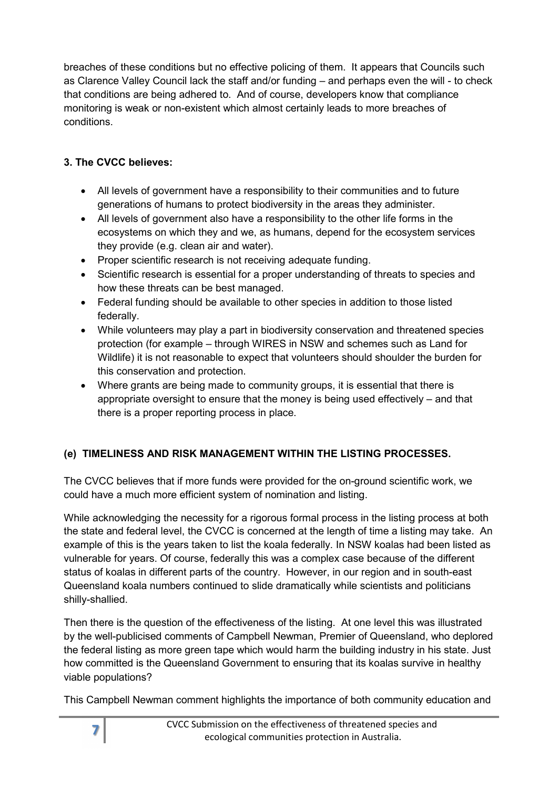breaches of these conditions but no effective policing of them. It appears that Councils such as Clarence Valley Council lack the staff and/or funding – and perhaps even the will - to check that conditions are being adhered to. And of course, developers know that compliance monitoring is weak or non-existent which almost certainly leads to more breaches of conditions.

# **3. The CVCC believes:**

- All levels of government have a responsibility to their communities and to future generations of humans to protect biodiversity in the areas they administer.
- All levels of government also have a responsibility to the other life forms in the ecosystems on which they and we, as humans, depend for the ecosystem services they provide (e.g. clean air and water).
- Proper scientific research is not receiving adequate funding.
- Scientific research is essential for a proper understanding of threats to species and how these threats can be best managed.
- Federal funding should be available to other species in addition to those listed federally.
- While volunteers may play a part in biodiversity conservation and threatened species protection (for example – through WIRES in NSW and schemes such as Land for Wildlife) it is not reasonable to expect that volunteers should shoulder the burden for this conservation and protection.
- Where grants are being made to community groups, it is essential that there is appropriate oversight to ensure that the money is being used effectively – and that there is a proper reporting process in place.

# **(e) TIMELINESS AND RISK MANAGEMENT WITHIN THE LISTING PROCESSES.**

The CVCC believes that if more funds were provided for the on-ground scientific work, we could have a much more efficient system of nomination and listing.

While acknowledging the necessity for a rigorous formal process in the listing process at both the state and federal level, the CVCC is concerned at the length of time a listing may take. An example of this is the years taken to list the koala federally. In NSW koalas had been listed as vulnerable for years. Of course, federally this was a complex case because of the different status of koalas in different parts of the country. However, in our region and in south-east Queensland koala numbers continued to slide dramatically while scientists and politicians shilly-shallied.

Then there is the question of the effectiveness of the listing. At one level this was illustrated by the well-publicised comments of Campbell Newman, Premier of Queensland, who deplored the federal listing as more green tape which would harm the building industry in his state. Just how committed is the Queensland Government to ensuring that its koalas survive in healthy viable populations?

This Campbell Newman comment highlights the importance of both community education and